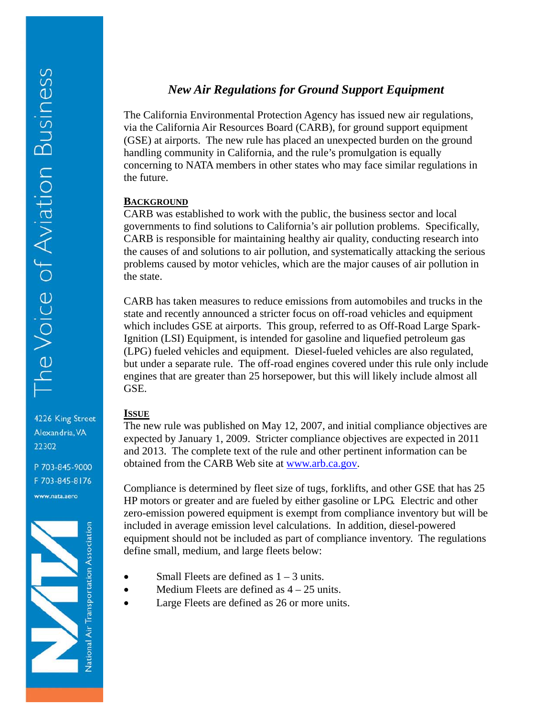Alexandria, VA

P 703-845-9000 F 703-845-8176 www.nata.aero

National Air Transportation Association

22302

# *New Air Regulations for Ground Support Equipment*

The California Environmental Protection Agency has issued new air regulations, via the California Air Resources Board (CARB), for ground support equipment (GSE) at airports. The new rule has placed an unexpected burden on the ground handling community in California, and the rule's promulgation is equally concerning to NATA members in other states who may face similar regulations in the future.

#### **BACKGROUND**

CARB was established to work with the public, the business sector and local governments to find solutions to California's air pollution problems. Specifically, CARB is responsible for maintaining healthy air quality, conducting research into the causes of and solutions to air pollution, and systematically attacking the serious problems caused by motor vehicles, which are the major causes of air pollution in the state.

CARB has taken measures to reduce emissions from automobiles and trucks in the state and recently announced a stricter focus on off-road vehicles and equipment which includes GSE at airports. This group, referred to as Off-Road Large Spark-Ignition (LSI) Equipment, is intended for gasoline and liquefied petroleum gas (LPG) fueled vehicles and equipment. Diesel-fueled vehicles are also regulated, but under a separate rule. The off-road engines covered under this rule only include engines that are greater than 25 horsepower, but this will likely include almost all GSE.

#### **ISSUE**

The new rule was published on May 12, 2007, and initial compliance objectives are expected by January 1, 2009. Stricter compliance objectives are expected in 2011 and 2013. The complete text of the rule and other pertinent information can be obtained from the CARB Web site at www.arb.ca.gov.

Compliance is determined by fleet size of tugs, forklifts, and other GSE that has 25 HP motors or greater and are fueled by either gasoline or LPG. Electric and other zero-emission powered equipment is exempt from compliance inventory but will be included in average emission level calculations. In addition, diesel-powered equipment should not be included as part of compliance inventory. The regulations define small, medium, and large fleets below:

- Small Fleets are defined as  $1 3$  units.
- Medium Fleets are defined as  $4 25$  units.
- Large Fleets are defined as 26 or more units.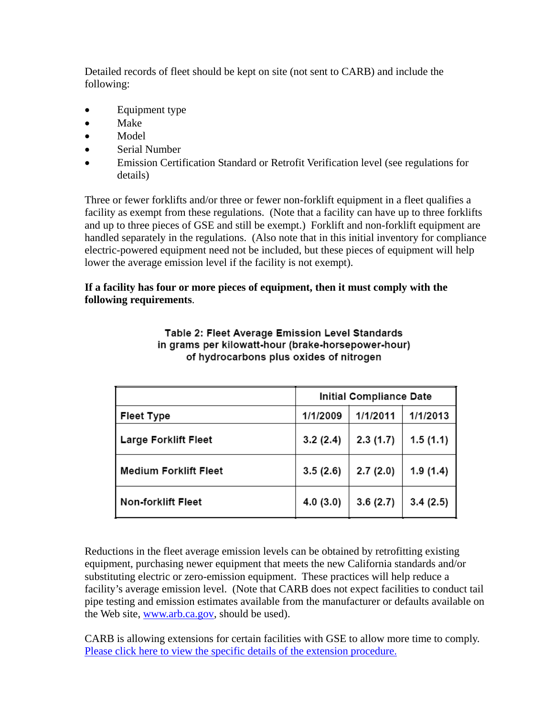Detailed records of fleet should be kept on site (not sent to CARB) and include the following:

- Equipment type
- Make
- Model
- Serial Number
- Emission Certification Standard or Retrofit Verification level (see regulations for details)

Three or fewer forklifts and/or three or fewer non-forklift equipment in a fleet qualifies a facility as exempt from these regulations. (Note that a facility can have up to three forklifts and up to three pieces of GSE and still be exempt.) Forklift and non-forklift equipment are handled separately in the regulations. (Also note that in this initial inventory for compliance electric-powered equipment need not be included, but these pieces of equipment will help lower the average emission level if the facility is not exempt).

## **If a facility has four or more pieces of equipment, then it must comply with the following requirements**.

|                              | <b>Initial Compliance Date</b> |          |          |
|------------------------------|--------------------------------|----------|----------|
| <b>Fleet Type</b>            | 1/1/2009                       | 1/1/2011 | 1/1/2013 |
| <b>Large Forklift Fleet</b>  | 3.2(2.4)                       | 2.3(1.7) | 1.5(1.1) |
| <b>Medium Forklift Fleet</b> | 3.5(2.6)                       | 2.7(2.0) | 1.9(1.4) |
| Non-forklift Fleet           | 4.0(3.0)                       | 3.6(2.7) | 3.4(2.5) |

Table 2: Fleet Average Emission Level Standards in grams per kilowatt-hour (brake-horsepower-hour) of hydrocarbons plus oxides of nitrogen

Reductions in the fleet average emission levels can be obtained by retrofitting existing equipment, purchasing newer equipment that meets the new California standards and/or substituting electric or zero-emission equipment. These practices will help reduce a facility's average emission level. (Note that CARB does not expect facilities to conduct tail pipe testing and emission estimates available from the manufacturer or defaults available on the Web site, www.arb.ca.gov, should be used).

CARB is allowing extensions for certain facilities with GSE to allow more time to comply. Please click here to view the specific details of the extension procedure.